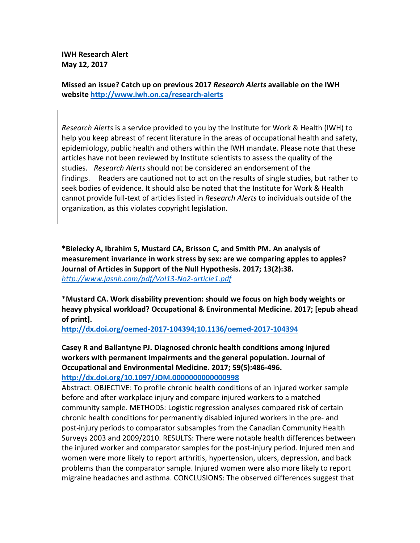**IWH Research Alert May 12, 2017** 

**Missed an issue? Catch up on previous 2017** *Research Alerts* **available on the IWH website http://www.iwh.on.ca/research-alerts**

*Research Alerts* is a service provided to you by the Institute for Work & Health (IWH) to help you keep abreast of recent literature in the areas of occupational health and safety, epidemiology, public health and others within the IWH mandate. Please note that these articles have not been reviewed by Institute scientists to assess the quality of the studies. *Research Alerts* should not be considered an endorsement of the findings. Readers are cautioned not to act on the results of single studies, but rather to seek bodies of evidence. It should also be noted that the Institute for Work & Health cannot provide full-text of articles listed in *Research Alerts* to individuals outside of the organization, as this violates copyright legislation.

**\*Bielecky A, Ibrahim S, Mustard CA, Brisson C, and Smith PM. An analysis of measurement invariance in work stress by sex: are we comparing apples to apples? Journal of Articles in Support of the Null Hypothesis. 2017; 13(2):38.**  *http://www.jasnh.com/pdf/Vol13-No2-article1.pdf*

\***Mustard CA. Work disability prevention: should we focus on high body weights or heavy physical workload? Occupational & Environmental Medicine. 2017; [epub ahead of print].** 

**http://dx.doi.org/oemed-2017-104394;10.1136/oemed-2017-104394**

**Casey R and Ballantyne PJ. Diagnosed chronic health conditions among injured workers with permanent impairments and the general population. Journal of Occupational and Environmental Medicine. 2017; 59(5):486-496. http://dx.doi.org/10.1097/JOM.0000000000000998**

Abstract: OBJECTIVE: To profile chronic health conditions of an injured worker sample before and after workplace injury and compare injured workers to a matched community sample. METHODS: Logistic regression analyses compared risk of certain chronic health conditions for permanently disabled injured workers in the pre- and post-injury periods to comparator subsamples from the Canadian Community Health Surveys 2003 and 2009/2010. RESULTS: There were notable health differences between the injured worker and comparator samples for the post-injury period. Injured men and women were more likely to report arthritis, hypertension, ulcers, depression, and back problems than the comparator sample. Injured women were also more likely to report migraine headaches and asthma. CONCLUSIONS: The observed differences suggest that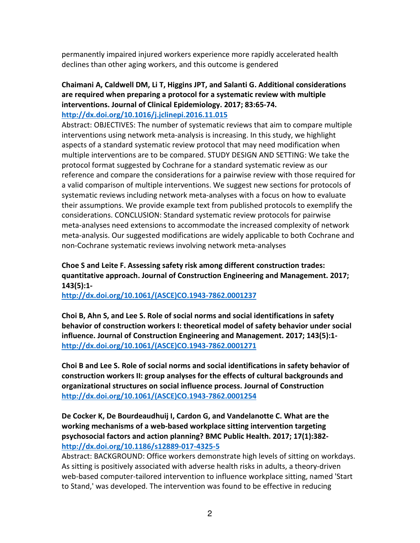permanently impaired injured workers experience more rapidly accelerated health declines than other aging workers, and this outcome is gendered

## **Chaimani A, Caldwell DM, Li T, Higgins JPT, and Salanti G. Additional considerations are required when preparing a protocol for a systematic review with multiple interventions. Journal of Clinical Epidemiology. 2017; 83:65-74. http://dx.doi.org/10.1016/j.jclinepi.2016.11.015**

Abstract: OBJECTIVES: The number of systematic reviews that aim to compare multiple interventions using network meta-analysis is increasing. In this study, we highlight aspects of a standard systematic review protocol that may need modification when multiple interventions are to be compared. STUDY DESIGN AND SETTING: We take the protocol format suggested by Cochrane for a standard systematic review as our reference and compare the considerations for a pairwise review with those required for a valid comparison of multiple interventions. We suggest new sections for protocols of systematic reviews including network meta-analyses with a focus on how to evaluate their assumptions. We provide example text from published protocols to exemplify the considerations. CONCLUSION: Standard systematic review protocols for pairwise meta-analyses need extensions to accommodate the increased complexity of network meta-analysis. Our suggested modifications are widely applicable to both Cochrane and non-Cochrane systematic reviews involving network meta-analyses

# **Choe S and Leite F. Assessing safety risk among different construction trades: quantitative approach. Journal of Construction Engineering and Management. 2017; 143(5):1-**

**http://dx.doi.org/10.1061/(ASCE)CO.1943-7862.0001237**

**Choi B, Ahn S, and Lee S. Role of social norms and social identifications in safety behavior of construction workers I: theoretical model of safety behavior under social influence. Journal of Construction Engineering and Management. 2017; 143(5):1 http://dx.doi.org/10.1061/(ASCE)CO.1943-7862.0001271** 

**Choi B and Lee S. Role of social norms and social identifications in safety behavior of construction workers II: group analyses for the effects of cultural backgrounds and organizational structures on social influence process. Journal of Construction http://dx.doi.org/10.1061/(ASCE)CO.1943-7862.0001254**

## **De Cocker K, De Bourdeaudhuij I, Cardon G, and Vandelanotte C. What are the working mechanisms of a web-based workplace sitting intervention targeting psychosocial factors and action planning? BMC Public Health. 2017; 17(1):382 http://dx.doi.org/10.1186/s12889-017-4325-5**

Abstract: BACKGROUND: Office workers demonstrate high levels of sitting on workdays. As sitting is positively associated with adverse health risks in adults, a theory-driven web-based computer-tailored intervention to influence workplace sitting, named 'Start to Stand,' was developed. The intervention was found to be effective in reducing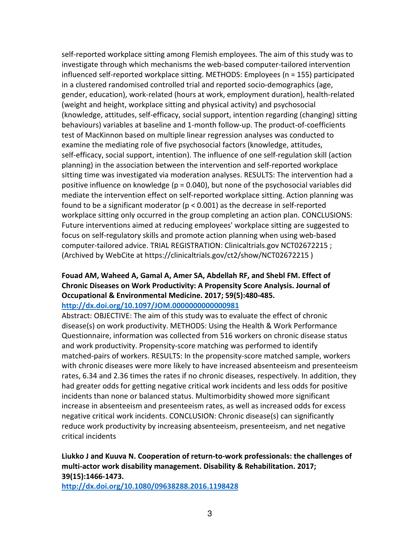self-reported workplace sitting among Flemish employees. The aim of this study was to investigate through which mechanisms the web-based computer-tailored intervention influenced self-reported workplace sitting. METHODS: Employees (n = 155) participated in a clustered randomised controlled trial and reported socio-demographics (age, gender, education), work-related (hours at work, employment duration), health-related (weight and height, workplace sitting and physical activity) and psychosocial (knowledge, attitudes, self-efficacy, social support, intention regarding (changing) sitting behaviours) variables at baseline and 1-month follow-up. The product-of-coefficients test of MacKinnon based on multiple linear regression analyses was conducted to examine the mediating role of five psychosocial factors (knowledge, attitudes, self-efficacy, social support, intention). The influence of one self-regulation skill (action planning) in the association between the intervention and self-reported workplace sitting time was investigated via moderation analyses. RESULTS: The intervention had a positive influence on knowledge (p = 0.040), but none of the psychosocial variables did mediate the intervention effect on self-reported workplace sitting. Action planning was found to be a significant moderator (p < 0.001) as the decrease in self-reported workplace sitting only occurred in the group completing an action plan. CONCLUSIONS: Future interventions aimed at reducing employees' workplace sitting are suggested to focus on self-regulatory skills and promote action planning when using web-based computer-tailored advice. TRIAL REGISTRATION: Clinicaltrials.gov NCT02672215 ; (Archived by WebCite at https://clinicaltrials.gov/ct2/show/NCT02672215 )

# **Fouad AM, Waheed A, Gamal A, Amer SA, Abdellah RF, and Shebl FM. Effect of Chronic Diseases on Work Productivity: A Propensity Score Analysis. Journal of Occupational & Environmental Medicine. 2017; 59(5):480-485.**

#### **http://dx.doi.org/10.1097/JOM.0000000000000981**

Abstract: OBJECTIVE: The aim of this study was to evaluate the effect of chronic disease(s) on work productivity. METHODS: Using the Health & Work Performance Questionnaire, information was collected from 516 workers on chronic disease status and work productivity. Propensity-score matching was performed to identify matched-pairs of workers. RESULTS: In the propensity-score matched sample, workers with chronic diseases were more likely to have increased absenteeism and presenteeism rates, 6.34 and 2.36 times the rates if no chronic diseases, respectively. In addition, they had greater odds for getting negative critical work incidents and less odds for positive incidents than none or balanced status. Multimorbidity showed more significant increase in absenteeism and presenteeism rates, as well as increased odds for excess negative critical work incidents. CONCLUSION: Chronic disease(s) can significantly reduce work productivity by increasing absenteeism, presenteeism, and net negative critical incidents

# **Liukko J and Kuuva N. Cooperation of return-to-work professionals: the challenges of multi-actor work disability management. Disability & Rehabilitation. 2017; 39(15):1466-1473.**

**http://dx.doi.org/10.1080/09638288.2016.1198428**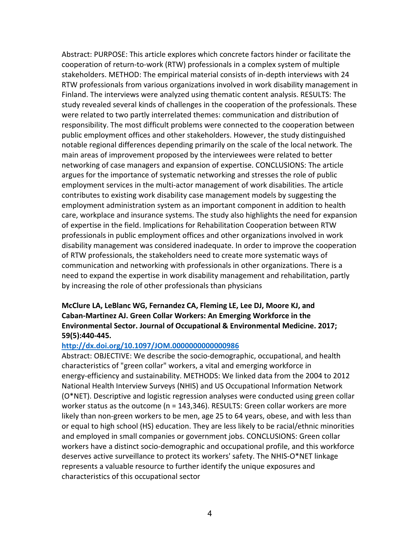Abstract: PURPOSE: This article explores which concrete factors hinder or facilitate the cooperation of return-to-work (RTW) professionals in a complex system of multiple stakeholders. METHOD: The empirical material consists of in-depth interviews with 24 RTW professionals from various organizations involved in work disability management in Finland. The interviews were analyzed using thematic content analysis. RESULTS: The study revealed several kinds of challenges in the cooperation of the professionals. These were related to two partly interrelated themes: communication and distribution of responsibility. The most difficult problems were connected to the cooperation between public employment offices and other stakeholders. However, the study distinguished notable regional differences depending primarily on the scale of the local network. The main areas of improvement proposed by the interviewees were related to better networking of case managers and expansion of expertise. CONCLUSIONS: The article argues for the importance of systematic networking and stresses the role of public employment services in the multi-actor management of work disabilities. The article contributes to existing work disability case management models by suggesting the employment administration system as an important component in addition to health care, workplace and insurance systems. The study also highlights the need for expansion of expertise in the field. Implications for Rehabilitation Cooperation between RTW professionals in public employment offices and other organizations involved in work disability management was considered inadequate. In order to improve the cooperation of RTW professionals, the stakeholders need to create more systematic ways of communication and networking with professionals in other organizations. There is a need to expand the expertise in work disability management and rehabilitation, partly by increasing the role of other professionals than physicians

## **McClure LA, LeBlanc WG, Fernandez CA, Fleming LE, Lee DJ, Moore KJ, and Caban-Martinez AJ. Green Collar Workers: An Emerging Workforce in the Environmental Sector. Journal of Occupational & Environmental Medicine. 2017; 59(5):440-445.**

#### **http://dx.doi.org/10.1097/JOM.0000000000000986**

Abstract: OBJECTIVE: We describe the socio-demographic, occupational, and health characteristics of "green collar" workers, a vital and emerging workforce in energy-efficiency and sustainability. METHODS: We linked data from the 2004 to 2012 National Health Interview Surveys (NHIS) and US Occupational Information Network (O\*NET). Descriptive and logistic regression analyses were conducted using green collar worker status as the outcome (n = 143,346). RESULTS: Green collar workers are more likely than non-green workers to be men, age 25 to 64 years, obese, and with less than or equal to high school (HS) education. They are less likely to be racial/ethnic minorities and employed in small companies or government jobs. CONCLUSIONS: Green collar workers have a distinct socio-demographic and occupational profile, and this workforce deserves active surveillance to protect its workers' safety. The NHIS-O\*NET linkage represents a valuable resource to further identify the unique exposures and characteristics of this occupational sector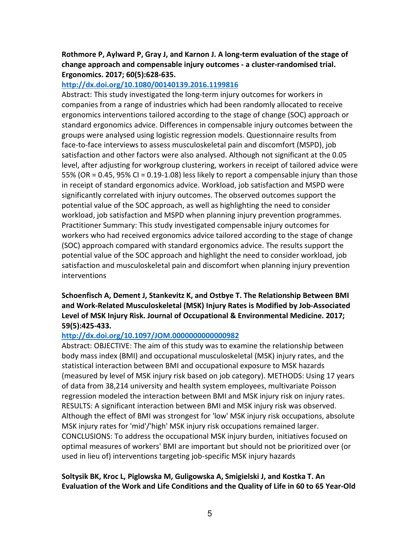**Rothmore P, Aylward P, Gray J, and Karnon J. A long-term evaluation of the stage of change approach and compensable injury outcomes - a cluster-randomised trial. Ergonomics. 2017; 60(5):628-635.** 

### **http://dx.doi.org/10.1080/00140139.2016.1199816**

Abstract: This study investigated the long-term injury outcomes for workers in companies from a range of industries which had been randomly allocated to receive ergonomics interventions tailored according to the stage of change (SOC) approach or standard ergonomics advice. Differences in compensable injury outcomes between the groups were analysed using logistic regression models. Questionnaire results from face-to-face interviews to assess musculoskeletal pain and discomfort (MSPD), job satisfaction and other factors were also analysed. Although not significant at the 0.05 level, after adjusting for workgroup clustering, workers in receipt of tailored advice were 55% (OR = 0.45, 95% CI = 0.19-1.08) less likely to report a compensable injury than those in receipt of standard ergonomics advice. Workload, job satisfaction and MSPD were significantly correlated with injury outcomes. The observed outcomes support the potential value of the SOC approach, as well as highlighting the need to consider workload, job satisfaction and MSPD when planning injury prevention programmes. Practitioner Summary: This study investigated compensable injury outcomes for workers who had received ergonomics advice tailored according to the stage of change (SOC) approach compared with standard ergonomics advice. The results support the potential value of the SOC approach and highlight the need to consider workload, job satisfaction and musculoskeletal pain and discomfort when planning injury prevention interventions

## **Schoenfisch A, Dement J, Stankevitz K, and Ostbye T. The Relationship Between BMI and Work-Related Musculoskeletal (MSK) Injury Rates is Modified by Job-Associated Level of MSK Injury Risk. Journal of Occupational & Environmental Medicine. 2017; 59(5):425-433.**

## **http://dx.doi.org/10.1097/JOM.0000000000000982**

Abstract: OBJECTIVE: The aim of this study was to examine the relationship between body mass index (BMI) and occupational musculoskeletal (MSK) injury rates, and the statistical interaction between BMI and occupational exposure to MSK hazards (measured by level of MSK injury risk based on job category). METHODS: Using 17 years of data from 38,214 university and health system employees, multivariate Poisson regression modeled the interaction between BMI and MSK injury risk on injury rates. RESULTS: A significant interaction between BMI and MSK injury risk was observed. Although the effect of BMI was strongest for 'low' MSK injury risk occupations, absolute MSK injury rates for 'mid'/'high' MSK injury risk occupations remained larger. CONCLUSIONS: To address the occupational MSK injury burden, initiatives focused on optimal measures of workers' BMI are important but should not be prioritized over (or used in lieu of) interventions targeting job-specific MSK injury hazards

### **Soltysik BK, Kroc L, Piglowska M, Guligowska A, Smigielski J, and Kostka T. An Evaluation of the Work and Life Conditions and the Quality of Life in 60 to 65 Year-Old**